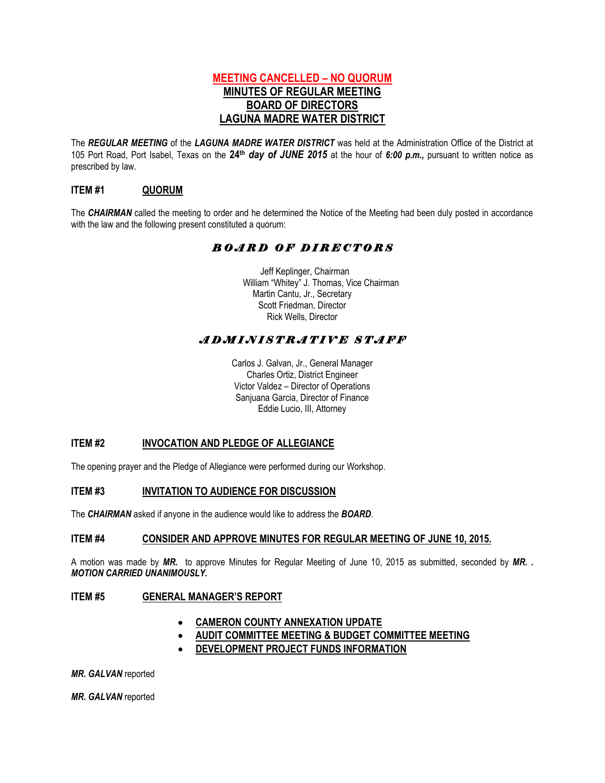# **MEETING CANCELLED – NO QUORUM MINUTES OF REGULAR MEETING BOARD OF DIRECTORS LAGUNA MADRE WATER DISTRICT**

The *REGULAR MEETING* of the *LAGUNA MADRE WATER DISTRICT* was held at the Administration Office of the District at 105 Port Road, Port Isabel, Texas on the **24th** *day of JUNE 2015* at the hour of *6:00 p.m.,* pursuant to written notice as prescribed by law.

## **ITEM #1 QUORUM**

The *CHAIRMAN* called the meeting to order and he determined the Notice of the Meeting had been duly posted in accordance with the law and the following present constituted a quorum:

# *B O A R D O F D I R E C T O R S*

 Jeff Keplinger, Chairman William "Whitey" J. Thomas, Vice Chairman Martin Cantu, Jr., Secretary Scott Friedman, Director Rick Wells, Director

# *A D M I N I S T R A T I V E S T A F F*

Carlos J. Galvan, Jr., General Manager Charles Ortiz, District Engineer Victor Valdez – Director of Operations Sanjuana Garcia, Director of Finance Eddie Lucio, III, Attorney

## **ITEM #2 INVOCATION AND PLEDGE OF ALLEGIANCE**

The opening prayer and the Pledge of Allegiance were performed during our Workshop.

### **ITEM #3 INVITATION TO AUDIENCE FOR DISCUSSION**

The *CHAIRMAN* asked if anyone in the audience would like to address the *BOARD*.

#### **ITEM #4 CONSIDER AND APPROVE MINUTES FOR REGULAR MEETING OF JUNE 10, 2015.**

A motion was made by *MR.* to approve Minutes for Regular Meeting of June 10, 2015 as submitted, seconded by *MR. . MOTION CARRIED UNANIMOUSLY.* 

#### **ITEM #5 GENERAL MANAGER'S REPORT**

- **CAMERON COUNTY ANNEXATION UPDATE**
- **AUDIT COMMITTEE MEETING & BUDGET COMMITTEE MEETING**
- **DEVELOPMENT PROJECT FUNDS INFORMATION**

*MR. GALVAN* reported

*MR. GALVAN* reported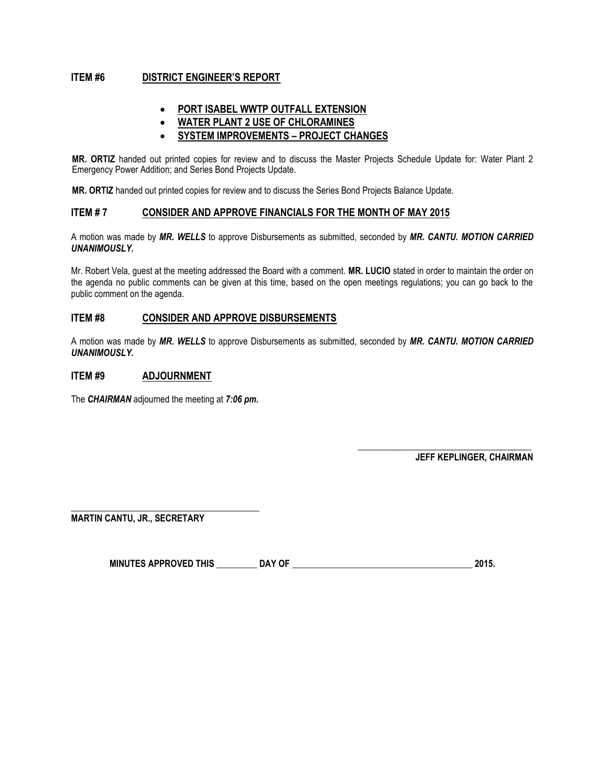## **ITEM #6 DISTRICT ENGINEER'S REPORT**

- **PORT ISABEL WWTP OUTFALL EXTENSION**
- **WATER PLANT 2 USE OF CHLORAMINES**
- **SYSTEM IMPROVEMENTS – PROJECT CHANGES**

**MR. ORTIZ** handed out printed copies for review and to discuss the Master Projects Schedule Update for: Water Plant 2 Emergency Power Addition; and Series Bond Projects Update.

**MR. ORTIZ** handed out printed copies for review and to discuss the Series Bond Projects Balance Update.

#### **ITEM # 7 CONSIDER AND APPROVE FINANCIALS FOR THE MONTH OF MAY 2015**

A motion was made by *MR. WELLS* to approve Disbursements as submitted, seconded by *MR. CANTU. MOTION CARRIED UNANIMOUSLY.*

Mr. Robert Vela, guest at the meeting addressed the Board with a comment. **MR. LUCIO** stated in order to maintain the order on the agenda no public comments can be given at this time, based on the open meetings regulations; you can go back to the public comment on the agenda.

### **ITEM #8 CONSIDER AND APPROVE DISBURSEMENTS**

A motion was made by *MR. WELLS* to approve Disbursements as submitted, seconded by *MR. CANTU. MOTION CARRIED UNANIMOUSLY.*

#### **ITEM #9 ADJOURNMENT**

The *CHAIRMAN* adjourned the meeting at *7:06 pm.* 

**\_\_\_\_\_\_\_\_\_\_\_\_\_\_\_\_\_\_\_\_\_\_\_\_\_\_\_\_\_\_\_\_\_\_\_ JEFF KEPLINGER, CHAIRMAN**

**\_\_\_\_\_\_\_\_\_\_\_\_\_\_\_\_\_\_\_\_\_\_\_\_\_\_\_\_\_\_\_\_\_\_\_\_\_\_ MARTIN CANTU, JR., SECRETARY**

**MINUTES APPROVED THIS \_\_\_\_\_\_\_\_\_ DAY OF \_\_\_\_\_\_\_\_\_\_\_\_\_\_\_\_\_\_\_\_\_\_\_\_\_\_\_\_\_\_\_\_\_\_\_\_\_\_\_\_ 2015.**